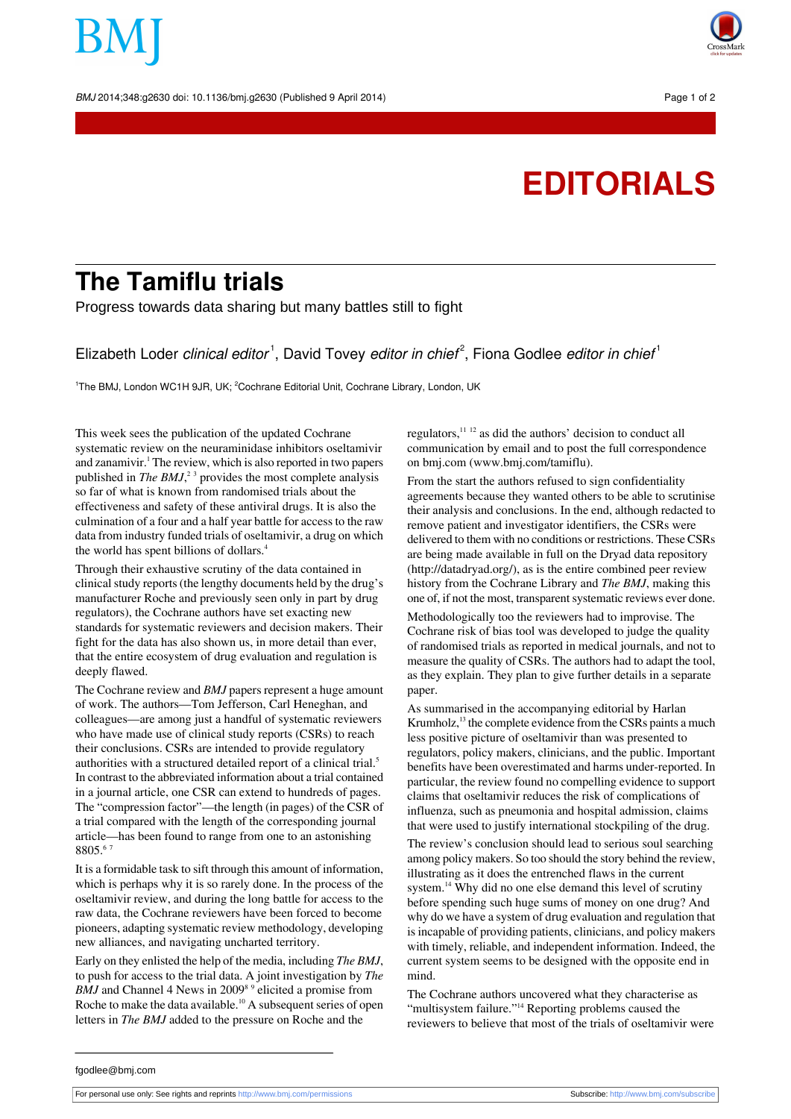BMJ 2014:348:g2630 doi: 10.1136/bmi.g2630 (Published 9 April 2014) Page 1 of 2



## **EDITORIALS**

## **The Tamiflu trials**

Progress towards data sharing but many battles still to fight

Elizabeth Loder clinical editor<sup>1</sup>, David Tovey editor in chief<sup>2</sup>, Fiona Godlee editor in chief<sup>1</sup>

<sup>1</sup>The BMJ, London WC1H 9JR, UK; <sup>2</sup>Cochrane Editorial Unit, Cochrane Library, London, UK

This week sees the publication of the updated Cochrane systematic review on the neuraminidase inhibitors oseltamivir and zanamivir.<sup>1</sup> The review, which is also reported in two papers published in *The BMJ*<sup>2</sup>,<sup>23</sup> provides the most complete analysis so far of what is known from randomised trials about the effectiveness and safety of these antiviral drugs. It is also the culmination of a four and a half year battle for access to the raw data from industry funded trials of oseltamivir, a drug on which the world has spent billions of dollars.<sup>4</sup>

Through their exhaustive scrutiny of the data contained in clinical study reports (the lengthy documents held by the drug's manufacturer Roche and previously seen only in part by drug regulators), the Cochrane authors have set exacting new standards for systematic reviewers and decision makers. Their fight for the data has also shown us, in more detail than ever, that the entire ecosystem of drug evaluation and regulation is deeply flawed.

The Cochrane review and *BMJ* papers represent a huge amount of work. The authors—Tom Jefferson, Carl Heneghan, and colleagues—are among just a handful of systematic reviewers who have made use of clinical study reports (CSRs) to reach their conclusions. CSRs are intended to provide regulatory authorities with a structured detailed report of a clinical trial.<sup>5</sup> In contrast to the abbreviated information about a trial contained in a journal article, one CSR can extend to hundreds of pages. The "compression factor"—the length (in pages) of the CSR of a trial compared with the length of the corresponding journal article—has been found to range from one to an astonishing 8805.<sup>6</sup> <sup>7</sup>

It is a formidable task to sift through this amount of information, which is perhaps why it is so rarely done. In the process of the oseltamivir review, and during the long battle for access to the raw data, the Cochrane reviewers have been forced to become pioneers, adapting systematic review methodology, developing new alliances, and navigating uncharted territory.

Early on they enlisted the help of the media, including *The BMJ*, to push for access to the trial data. A joint investigation by *The* BMJ and Channel 4 News in 2009<sup>8 9</sup> elicited a promise from Roche to make the data available.<sup>10</sup> A subsequent series of open letters in *The BMJ* added to the pressure on Roche and the

regulators,<sup>11</sup> <sup>12</sup> as did the authors' decision to conduct all communication by email and to post the full correspondence on bmj.com [\(www.bmj.com/tamiflu](http://www.bmj.com/tamiflu)).

From the start the authors refused to sign confidentiality agreements because they wanted others to be able to scrutinise their analysis and conclusions. In the end, although redacted to remove patient and investigator identifiers, the CSRs were delivered to them with no conditions or restrictions. These CSRs are being made available in full on the Dryad data repository ([http://datadryad.org/\)](http://datadryad.org/), as is the entire combined peer review history from the Cochrane Library and *The BMJ*, making this one of, if not the most, transparent systematic reviews ever done.

Methodologically too the reviewers had to improvise. The Cochrane risk of bias tool was developed to judge the quality of randomised trials as reported in medical journals, and not to measure the quality of CSRs. The authors had to adapt the tool, as they explain. They plan to give further details in a separate paper.

As summarised in the accompanying editorial by Harlan Krumholz, $<sup>13</sup>$  the complete evidence from the CSRs paints a much</sup> less positive picture of oseltamivir than was presented to regulators, policy makers, clinicians, and the public. Important benefits have been overestimated and harms under-reported. In particular, the review found no compelling evidence to support claims that oseltamivir reduces the risk of complications of influenza, such as pneumonia and hospital admission, claims that were used to justify international stockpiling of the drug.

The review's conclusion should lead to serious soul searching among policy makers. So too should the story behind the review, illustrating as it does the entrenched flaws in the current system.<sup>14</sup> Why did no one else demand this level of scrutiny before spending such huge sums of money on one drug? And why do we have a system of drug evaluation and regulation that is incapable of providing patients, clinicians, and policy makers with timely, reliable, and independent information. Indeed, the current system seems to be designed with the opposite end in mind.

The Cochrane authors uncovered what they characterise as "multisystem failure."<sup>14</sup> Reporting problems caused the reviewers to believe that most of the trials of oseltamivir were

fgodlee@bmj.com